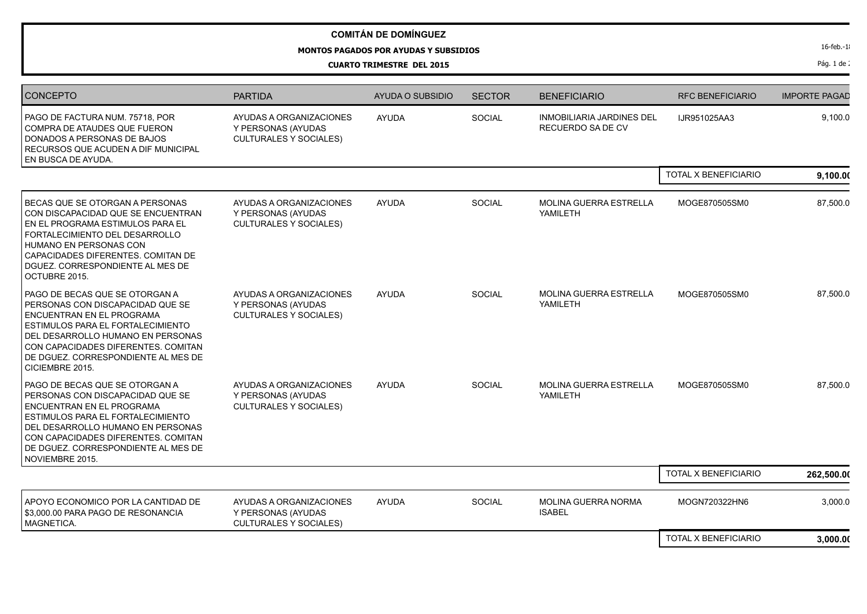## **MONTOS PAGADOS POR AYUDAS Y SUBSIDIOS**

**CUARTO TRIMESTRE DEL 2015**

| <b>CONCEPTO</b>                                                                                                                                                                                                                                                            | <b>PARTIDA</b>                                                                 | <b>AYUDA O SUBSIDIO</b> | <b>SECTOR</b> | <b>BENEFICIARIO</b>                                   | <b>RFC BENEFICIARIO</b>     | <b>IMPORTE PAGAD</b> |
|----------------------------------------------------------------------------------------------------------------------------------------------------------------------------------------------------------------------------------------------------------------------------|--------------------------------------------------------------------------------|-------------------------|---------------|-------------------------------------------------------|-----------------------------|----------------------|
| PAGO DE FACTURA NUM. 75718, POR<br>COMPRA DE ATAUDES QUE FUERON<br>DONADOS A PERSONAS DE BAJOS<br>RECURSOS QUE ACUDEN A DIF MUNICIPAL<br>EN BUSCA DE AYUDA.                                                                                                                | AYUDAS A ORGANIZACIONES<br>Y PERSONAS (AYUDAS<br><b>CULTURALES Y SOCIALES)</b> | <b>AYUDA</b>            | <b>SOCIAL</b> | <b>INMOBILIARIA JARDINES DEL</b><br>RECUERDO SA DE CV | IJR951025AA3                | 9,100.0              |
|                                                                                                                                                                                                                                                                            |                                                                                |                         |               |                                                       | <b>TOTAL X BENEFICIARIO</b> | 9,100.00             |
| BECAS QUE SE OTORGAN A PERSONAS<br>CON DISCAPACIDAD QUE SE ENCUENTRAN<br>EN EL PROGRAMA ESTIMULOS PARA EL<br>FORTALECIMIENTO DEL DESARROLLO<br>HUMANO EN PERSONAS CON<br>CAPACIDADES DIFERENTES, COMITAN DE<br>DGUEZ. CORRESPONDIENTE AL MES DE<br>OCTUBRE 2015.           | AYUDAS A ORGANIZACIONES<br>Y PERSONAS (AYUDAS<br><b>CULTURALES Y SOCIALES)</b> | <b>AYUDA</b>            | SOCIAL        | <b>MOLINA GUERRA ESTRELLA</b><br>YAMILETH             | MOGE870505SM0               | 87,500.0             |
| PAGO DE BECAS QUE SE OTORGAN A<br>PERSONAS CON DISCAPACIDAD QUE SE<br>ENCUENTRAN EN EL PROGRAMA<br>ESTIMULOS PARA EL FORTALECIMIENTO<br>DEL DESARROLLO HUMANO EN PERSONAS<br>CON CAPACIDADES DIFERENTES. COMITAN<br>DE DGUEZ. CORRESPONDIENTE AL MES DE<br>CICIEMBRE 2015. | AYUDAS A ORGANIZACIONES<br>Y PERSONAS (AYUDAS<br><b>CULTURALES Y SOCIALES)</b> | <b>AYUDA</b>            | SOCIAL        | <b>MOLINA GUERRA ESTRELLA</b><br>YAMILETH             | MOGE870505SM0               | 87,500.0             |
| PAGO DE BECAS QUE SE OTORGAN A<br>PERSONAS CON DISCAPACIDAD QUE SE<br>ENCUENTRAN EN EL PROGRAMA<br>ESTIMULOS PARA EL FORTALECIMIENTO<br>DEL DESARROLLO HUMANO EN PERSONAS<br>CON CAPACIDADES DIFERENTES, COMITAN<br>DE DGUEZ. CORRESPONDIENTE AL MES DE<br>NOVIEMBRE 2015. | AYUDAS A ORGANIZACIONES<br>Y PERSONAS (AYUDAS<br><b>CULTURALES Y SOCIALES)</b> | <b>AYUDA</b>            | SOCIAL        | <b>MOLINA GUERRA ESTRELLA</b><br>YAMILETH             | MOGE870505SM0               | 87,500.0             |
|                                                                                                                                                                                                                                                                            |                                                                                |                         |               |                                                       | TOTAL X BENEFICIARIO        | 262,500.00           |
| APOYO ECONOMICO POR LA CANTIDAD DE<br>\$3,000.00 PARA PAGO DE RESONANCIA<br>MAGNETICA.                                                                                                                                                                                     | AYUDAS A ORGANIZACIONES<br>Y PERSONAS (AYUDAS<br><b>CULTURALES Y SOCIALES)</b> | <b>AYUDA</b>            | SOCIAL        | <b>MOLINA GUERRA NORMA</b><br><b>ISABEL</b>           | MOGN720322HN6               | 3,000.0              |
|                                                                                                                                                                                                                                                                            |                                                                                |                         |               |                                                       | TOTAL X BENEFICIARIO        | 3,000.00             |

16-feb.-18 Pág. 1 de 2